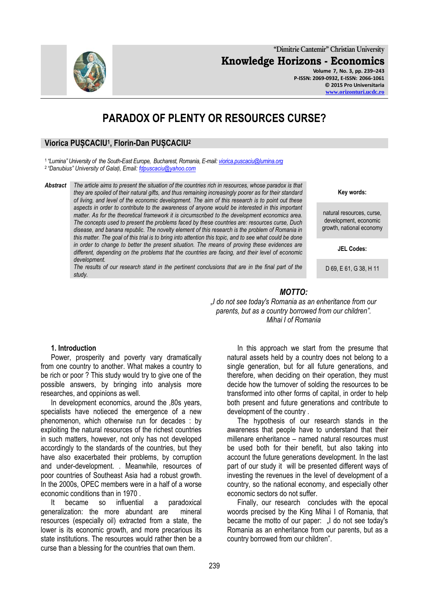

**"Dimitrie Cantemir" Christian University Knowledge Horizons - Economics Volume 7, No. 3, pp. 239–243**

**P-ISSN: 2069-0932, E-ISSN: 2066-1061 © 2015 Pro Universitaria [www.orizonturi.ucdc.ro](http://www.orizonturi.ucdc.ro/)**

# **PARADOX OF PLENTY OR RESOURCES CURSE?**

### **Viorica PUȘCACIU<sup>1</sup> , Florin-Dan PUȘCACIU<sup>2</sup>**

1 *"Lumina" University of the South-East Europe, Bucharest, Romania, E-mail[: viorica.puscaciu@lumina.org](mailto:viorica.puscaciu@lumina.org)*

2 *"Danubius" University of Galați, Email: [fdpuscaciu@yahoo.com](mailto:fdpuscaciu@yahoo.com)*

*Abstract The article aims to present the situation of the countries rich in resources, whose paradox is that they are spoiled of their natural gifts, and thus remaining increasingly poorer as for their standard of living, and level of the economic development. The aim of this research is to point out these aspects in order to contribute to the awareness of anyone would be interested in this important matter. As for the theoretical framework it is circumscribed to the development economics area. The concepts used to present the problems faced by these countries are: resources curse, Duch disease, and banana republic. The novelty element of this research is the problem of Romania in this matter. The goal of this trial is to bring into attention this topic, and to see what could be done in order to change to better the present situation. The means of proving these evidences are different, depending on the problems that the countries are facing, and their level of economic development.* 

*The results of our research stand in the pertinent conclusions that are in the final part of the study.*

**Key words:**

natural resources, curse, development, economic growth, national economy

**JEL Codes:**

D 69, E 61, G 38, H 11

## *MOTTO:*

*"I do not see today's Romania as an enheritance from our parents, but as a country borrowed from our children". Mihai I of Romania*

#### **1. Introduction**

Power, prosperity and poverty vary dramatically from one country to another. What makes a country to be rich or poor ? This study would try to give one of the possible answers, by bringing into analysis more researches, and oppinions as well.

In development economics, around the .80s years, specialists have notieced the emergence of a new phenomenon, which otherwise run for decades : by exploiting the natural resources of the richest countries in such matters, however, not only has not developed accordingly to the standards of the countries, but they have also exacerbated their problems, by corruption and under-development. . Meanwhile, resources of poor countries of Southeast Asia had a robust growth. In the 2000s, OPEC members were in a half of a worse economic conditions than in 1970 .

It became so influential a paradoxical generalization: the more abundant are mineral resources (especially oil) extracted from a state, the lower is its economic growth, and more precarious its state institutions. The resources would rather then be a curse than a blessing for the countries that own them.

In this approach we start from the presume that natural assets held by a country does not belong to a single generation, but for all future generations, and therefore, when deciding on their operation, they must decide how the turnover of solding the resources to be transformed into other forms of capital, in order to help both present and future generations and contribute to development of the country .

The hypothesis of our research stands in the awareness that people have to understand that their millenare enheritance – named natural resources must be used both for their benefit, but also taking into account the future generations development. In the last part of our study it will be presented different ways of investing the revenues in the level of development of a country, so the national economy, and especially other economic sectors do not suffer.

Finally, our research concludes with the epocal woords precised by the King Mihai I of Romania, that became the motto of our paper: "I do not see today's Romania as an enheritance from our parents, but as a country borrowed from our children".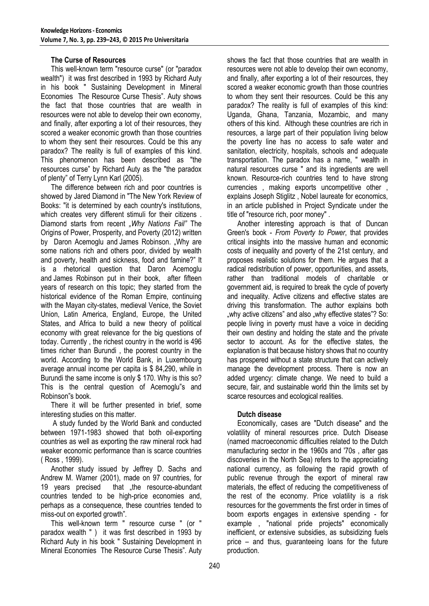#### **The Curse of Resources**

This well-known term "resource curse" (or "paradox wealth") it was first described in 1993 by Richard Auty in his book " Sustaining Development in Mineral Economies The Resource Curse Thesis". Auty shows the fact that those countries that are wealth in resources were not able to develop their own economy, and finally, after exporting a lot of their resources, they scored a weaker economic growth than those countries to whom they sent their resources. Could be this any paradox? The reality is full of examples of this kind. This phenomenon has been described as "the resources curse" by Richard Auty as the "the paradox of plenty" of Terry Lynn Karl (2005).

The difference between rich and poor countries is showed by Jared Diamond in "The New York Review of Books: "it is determined by each country's institutions, which creates very different stimuli for their citizens. Diamond starts from recent "Why Nations Fail" The Origins of Power, Prosperity, and Poverty (2012) written by [Daron Acemoglu](http://www.amazon.com/Daron-Acemoglu/e/B001H6IPC6/ref=dp_byline_cont_book_1) and [James Robinson.](http://www.amazon.com/James-Robinson/e/B007MBC6ZW/ref=dp_byline_cont_book_2) "Why are some nations rich and others poor, divided by wealth and poverty, health and sickness, food and famine?" It is a rhetorical question that [Daron Acemoglu](http://www.amazon.com/Daron-Acemoglu/e/B001H6IPC6/ref=dp_byline_cont_book_1) and [James Robinson](http://www.amazon.com/James-Robinson/e/B007MBC6ZW/ref=dp_byline_cont_book_2) put in their book, after fifteen years of research on this topic; they started from the historical evidence of the Roman Empire, continuing with the Mayan city-states, medieval Venice, the Soviet Union, Latin America, England, Europe, the United States, and Africa to build a new theory of political economy with great relevance for the big questions of today. Currently , the richest country in the world is 496 times richer than Burundi , the poorest country in the world. According to the World Bank, in Luxembourg average annual income per capita is \$ 84,290, while in Burundi the same income is only \$ 170. Why is this so? This is the central question of Acemoglu"s and Robinson"s book.

There it will be further presented in brief, some interesting studies on this matter.

A study funded by the World Bank and conducted between 1971-1983 showed that both oil-exporting countries as well as exporting the raw mineral rock had weaker economic performance than is scarce countries ( Ross , 1999).

Another study issued by Jeffrey D. Sachs and Andrew M. Warner (2001), made on 97 countries, for 19 years precised that the resource-abundant countries tended to be high-price economies and, perhaps as a consequence, these countries tended to miss-out on exported growth".

This well-known term " resource curse " (or " paradox wealth " ) it was first described in 1993 by Richard Auty in his book " Sustaining Development in Mineral Economies The Resource Curse Thesis". Auty shows the fact that those countries that are wealth in resources were not able to develop their own economy, and finally, after exporting a lot of their resources, they scored a weaker economic growth than those countries to whom they sent their resources. Could be this any paradox? The reality is full of examples of this kind: Uganda, Ghana, Tanzania, Mozambic, and many others of this kind. Although these countries are rich in resources, a large part of their population living below the poverty line has no access to safe water and sanitation, electricity, hospitals, schools and adequate transportation. The paradox has a name, " wealth in natural resources curse " and its ingredients are well known. Resource-rich countries tend to have strong currencies , making exports uncompetitive other , explains Joseph Stiglitz , Nobel laureate for economics, in an article published in Project Syndicate under the title of "resource rich, poor money" .

Another interesting approach is that of Duncan Green's book - *From Poverty to Power*, that provides critical insights into the massive human and economic costs of inequality and poverty of the 21st century, and proposes realistic solutions for them. He argues that a radical redistribution of power, opportunities, and assets, rather than traditional models of charitable or government aid, is required to break the cycle of poverty and inequality. Active citizens and effective states are driving this transformation. The author explains both "why active citizens" and also "why effective states"? So: people living in poverty must have a voice in deciding their own destiny and holding the state and the private sector to account. As for the effective states, the explanation is that because history shows that no country has prospered without a state structure that can actively manage the development process. There is now an added urgency: climate change. We need to build a secure, fair, and sustainable world thin the limits set by scarce resources and ecological realities.

#### **Dutch disease**

Economically, cases are "Dutch disease" and the volatility of mineral resources price. Dutch Disease (named macroeconomic difficulties related to the Dutch manufacturing sector in the 1960s and '70s , after gas discoveries in the North Sea) refers to the appreciating national currency, as following the rapid growth of public revenue through the export of mineral raw materials, the effect of reducing the competitiveness of the rest of the economy. Price volatility is a risk resources for the governments the first order in times of boom exports engages in extensive spending - for example , "national pride projects" economically inefficient, or extensive subsidies, as subsidizing fuels price – and thus, guaranteeing loans for the future production.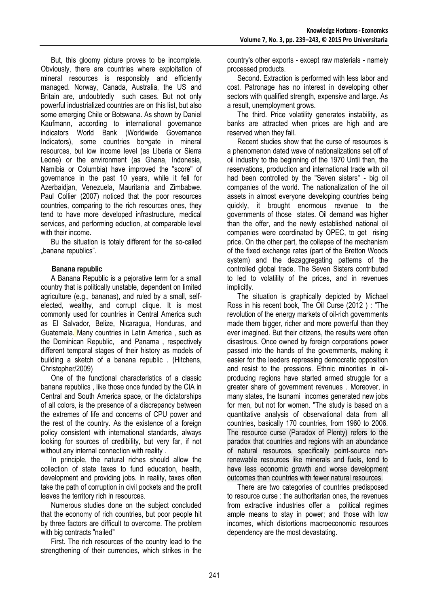But, this gloomy picture proves to be incomplete. Obviously, there are countries where exploitation of mineral resources is responsibly and efficiently managed. Norway, Canada, Australia, the US and Britain are, undoubtedly such cases. But not only powerful industrialized countries are on this list, but also some emerging Chile or Botswana. As shown by Daniel Kaufmann, according to international governance indicators World Bank (Worldwide Governance Indicators), some countries bo¬gate in mineral resources, but low income level (as Liberia or Sierra Leone) or the environment (as Ghana, Indonesia, Namibia or Columbia) have improved the "score" of governance in the past 10 years, while it fell for Azerbaidjan, Venezuela, Mauritania and Zimbabwe. Paul Collier (2007) noticed that the poor resources countries, comparing to the rich resources ones, they tend to have more developed infrastructure, medical services, and performing eduction, at comparable level with their income.

Bu the situation is totaly different for the so-called "banana republics".

#### **Banana republic**

A Banana Republic is a pejorative term for a small country that is politically unstable, dependent on limited agriculture (e.g., bananas), and ruled by a small, selfelected, wealthy, and corrupt clique. It is most commonly used for countries in Central America such as El Salvador, Belize, Nicaragua, Honduras, and Guatemala. Many countries in Latin America , such as the Dominican Republic, and Panama , respectively different temporal stages of their history as models of building a sketch of a banana republic . (Hitchens, Christopher/2009)

One of the functional characteristics of a classic banana republics , like those once funded by the CIA in Central and South America space, or the dictatorships of all colors, is the presence of a discrepancy between the extremes of life and concerns of CPU power and the rest of the country. As the existence of a foreign policy consistent with international standards, always looking for sources of credibility, but very far, if not without any internal connection with reality .

In principle, the natural riches should allow the collection of state taxes to fund education, health, development and providing jobs. In reality, taxes often take the path of corruption in civil pockets and the profit leaves the territory rich in resources.

Numerous studies done on the subject concluded that the economy of rich countries, but poor people hit by three factors are difficult to overcome. The problem with big contracts "nailed"

First. The rich resources of the country lead to the strengthening of their currencies, which strikes in the country's other exports - except raw materials - namely processed products.

Second. Extraction is performed with less labor and cost. Patronage has no interest in developing other sectors with qualified strength, expensive and large. As a result, unemployment grows.

The third. Price volatility generates instability, as banks are attracted when prices are high and are reserved when they fall.

Recent studies show that the curse of resources is a phenomenon dated wave of nationalizations set off of oil industry to the beginning of the 1970 Until then, the reservations, production and international trade with oil had been controlled by the "Seven sisters" - big oil companies of the world. The nationalization of the oil assets in almost everyone developing countries being quickly, it brought enormous revenue to the governments of those states. Oil demand was higher than the offer, and the newly established national oil companies were coordinated by OPEC, to get rising price. On the other part, the collapse of the mechanism of the fixed exchange rates (part of the Bretton Woods system) and the dezaggregating patterns of the controlled global trade. The Seven Sisters contributed to led to volatility of the prices, and in revenues implicitly.

The situation is graphically depicted by Michael Ross in his recent book, The Oil Curse (2012 ) : "The revolution of the energy markets of oil-rich governments made them bigger, richer and more powerful than they ever imagined. But their citizens, the results were often disastrous. Once owned by foreign corporations power passed into the hands of the governments, making it easier for the leeders repressing democratic opposition and resist to the pressions. Ethnic minorities in oilproducing regions have started armed struggle for a greater share of government revenues . Moreover, in many states, the tsunami incomes generated new jobs for men, but not for women. "The study is based on a quantitative analysis of observational data from all countries, basically 170 countries, from 1960 to 2006. The resource curse (Paradox of Plenty) refers to the paradox that countries and regions with an abundance of natural resources, specifically point-source nonrenewable resources like minerals and fuels, tend to have less economic growth and worse development outcomes than countries with fewer natural resources.

There are two categories of countries predisposed to resource curse : the authoritarian ones, the revenues from extractive industries offer a political regimes ample means to stay in power; and those with low incomes, which distortions macroeconomic resources dependency are the most devastating.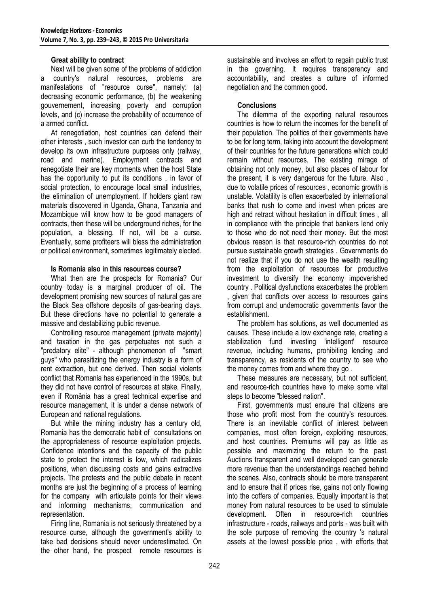#### **Great ability to contract**

Next will be given some of the problems of addiction a country's natural resources, problems are manifestations of "resource curse", namely: (a) decreasing economic performance, (b) the weakening gouvernement, increasing poverty and corruption levels, and (c) increase the probability of occurrence of a armed conflict.

At renegotiation, host countries can defend their other interests , such investor can curb the tendency to develop its own infrastructure purposes only (railway, road and marine). Employment contracts and renegotiate their are key moments when the host State has the opportunity to put its conditions , in favor of social protection, to encourage local small industries, the elimination of unemployment. If holders giant raw materials discovered in Uganda, Ghana, Tanzania and Mozambique will know how to be good managers of contracts, then these will be underground riches, for the population, a blessing. If not, will be a curse. Eventually, some profiteers will bless the administration or political environment, sometimes legitimately elected.

#### **Is Romania also in this resources course?**

What then are the prospects for Romania? Our country today is a marginal producer of oil. The development promising new sources of natural gas are the Black Sea offshore deposits of gas-bearing clays. But these directions have no potential to generate a massive and destabilizing public revenue.

Controlling resource management (private majority) and taxation in the gas perpetuates not such a "predatory elite" - although phenomenon of "smart guys" who parasitizing the energy industry is a form of rent extraction, but one derived. Then social violents conflict that Romania has experienced in the 1990s, but they did not have control of resources at stake. Finally, even if România has a great technical expertise and resource management, it is under a dense network of European and national regulations.

But while the mining industry has a century old, Romania has the democratic habit of consultations on the appropriateness of resource exploitation projects. Confidence intentions and the capacity of the public state to protect the interest is low, which radicalizes positions, when discussing costs and gains extractive projects. The protests and the public debate in recent months are just the beginning of a process of learning for the company with articulate points for their views and informing mechanisms, communication and representation.

Firing line, Romania is not seriously threatened by a resource curse, although the government's ability to take bad decisions should never underestimated. On the other hand, the prospect remote resources is

sustainable and involves an effort to regain public trust in the governing. It requires transparency and accountability, and creates a culture of informed negotiation and the common good.

### **Conclusions**

The dilemma of the exporting natural resources countries is how to return the incomes for the benefit of their population. The politics of their governments have to be for long term, taking into account the development of their countries for the future generations which could remain without resources. The existing mirage of obtaining not only money, but also places of labour for the present, it is very dangerous for the future. Also , due to volatile prices of resources , economic growth is unstable. Volatility is often exacerbated by international banks that rush to come and invest when prices are high and retract without hesitation in difficult times , all in compliance with the principle that bankers lend only to those who do not need their money. But the most obvious reason is that resource-rich countries do not pursue sustainable growth strategies . Governments do not realize that if you do not use the wealth resulting from the exploitation of resources for productive investment to diversify the economy impoverished country . Political dysfunctions exacerbates the problem given that conflicts over access to resources gains from corrupt and undemocratic governments favor the establishment.

The problem has solutions, as well documented as causes. These include a low exchange rate, creating a stabilization fund investing 'intelligent' resource revenue, including humans, prohibiting lending and transparency, as residents of the country to see who the money comes from and where they go .

These measures are necessary, but not sufficient, and resource-rich countries have to make some vital steps to become "blessed nation".

First, governments must ensure that citizens are those who profit most from the country's resources. There is an inevitable conflict of interest between companies, most often foreign, exploiting resources, and host countries. Premiums will pay as little as possible and maximizing the return to the past. Auctions transparent and well developed can generate more revenue than the understandings reached behind the scenes. Also, contracts should be more transparent and to ensure that if prices rise, gains not only flowing into the coffers of companies. Equally important is that money from natural resources to be used to stimulate development. Often in resource-rich countries infrastructure - roads, railways and ports - was built with the sole purpose of removing the country 's natural assets at the lowest possible price , with efforts that